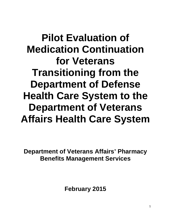**Pilot Evaluation of Medication Continuation for Veterans Transitioning from the Department of Defense Health Care System to the Department of Veterans Affairs Health Care System**

**Department of Veterans Affairs' Pharmacy Benefits Management Services**

**February 2015**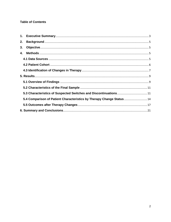# **Table of Contents**

| 2. |                                                                        |  |
|----|------------------------------------------------------------------------|--|
| 3. |                                                                        |  |
| 4. |                                                                        |  |
|    |                                                                        |  |
|    |                                                                        |  |
|    |                                                                        |  |
|    |                                                                        |  |
|    |                                                                        |  |
|    |                                                                        |  |
|    |                                                                        |  |
|    | 5.4 Comparison of Patient Characteristics by Therapy Change Status  14 |  |
|    |                                                                        |  |
|    |                                                                        |  |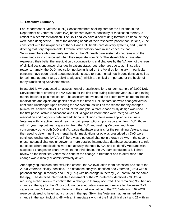#### <span id="page-2-0"></span>**1. Executive Summary**

For Department of Defense (DoD) Servicemembers seeking care for the first time in the Department of Veterans Affairs (VA) healthcare system, continuity of medication therapy is critical to a seamless transition. The DoD and VA have different drug formularies because they were each designed to 1) meet the differing needs of their respective patient populations, 2) be consistent with the uniqueness of the VA and DoD health care delivery systems, and 3) meet differing statutory requirements. External stakeholders have raised concerns that Servicemembers who are newly enrolled in the VA health care system do not remain on the same medications prescribed when they separate from DoD. The stakeholders have also expressed their belief that medication discontinuations and changes by the VA are not the result of clinical decisions and/or changes in patient status, but rather are due to administrative reasons; namely, the DoD medication not being listed on the VA drug formulary. In particular, concerns have been raised about medications used to treat mental health conditions as well as for pain management (e.g., opioid analgesics), which are critically important for the health of many transitioning Servicemembers.

In late 2014, VA conducted an assessment of prescriptions for a random sample of 2,000 DoD Servicemembers entering the VA system for the first time during calendar year 2013 and taking mental health or pain medication. The assessment evaluated the extent to which mental health medications and opioid analgesics active at the time of DoD separation were changed versus continued unchanged upon entering the VA system, as well as the reason for any changes (clinical vs. administrative). To conduct this analysis, a three-phase study design was used. In the first phase, active medications and DoD diagnosis information were merged with VA medication and diagnosis data and additional exclusion criteria were applied to eliminate Veterans with no active mental health or pain prescriptions upon separation from DoD, those with >1 year gap between separating from the DoD and seeking VA care, and those concurrently using both DoD and VA. Large database analysis for the remaining Veterans was then used to determine if the mental health medications or opioids prescribed by DoD were continued unchanged by VA or if there was a potential change in therapy by VA. In the second phase, potential changes underwent a more detailed intermediate database assessment to rule out cases where medications were not actually changed by VA, and to identify Veterans with suspected changes for chart review. In the third phase, the VA team conducted a full chart review on the identified Veterans to confirm the change in treatment and to determine if the change was clinically or administratively driven.

After applying inclusion and exclusion criteria, the VA evaluation team assessed 729 out of the 2,000 Veterans initially identified. The database analysis identified 620 Veterans (85%) with a potential change in therapy and 109 (15%) with no change in therapy (i.e., continued the same therapy). The detailed intermediate assessment of the 620 Veterans identified 270 (43%) requiring a chart review to confirm that a change in therapy occurred. The remaining 350 had no change in therapy by the VA or could not be adequately assessed due to a lag between DoD separation and VA enrollment. Following the chart evaluation of the 270 Veterans, 167 (62%) were considered to have had a change in therapy. Sixty nine Veterans had an immediate change in therapy, including 48 with an immediate switch at the first clinical visit and 21 with an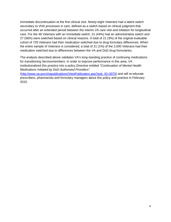immediate discontinuation at the first clinical visit. Ninety-eight Veterans had a latent switch secondary to VHA processes in care, defined as a switch based on clinical judgment that occurred after an extended period between the interim VA care visit and initiation for longitudinal care. For the 48 Veterans with an immediate switch, 21 (44%) had an administrative switch and 27 (56%) were switched based on clinical reasons. A total of 21 (3%) of the original evaluable cohort of 729 Veterans had their medication switched due to drug formulary differences. When the entire sample of Veterans is considered, a total of 21 (1%) of the 2,000 Veterans had their medication switched due to differences between the VA and DoD drug formularies.

The analysis described above validates VA's long-standing practice of continuing medications for transitioning Servicemembers. In order to improve performance in this area, VA institutionalized this practice into a policy Directive entitled *"Continuation of Mental Health Medications Initiated by DoD Authorized Providers"* 

[\(http://www.va.gov/vhapublications/ViewPublication.asp?pub\\_ID=3075\)](http://www.va.gov/vhapublications/ViewPublication.asp?pub_ID=3075) and will re-educate prescribers, pharmacists and formulary managers about this policy and practice in February 2015.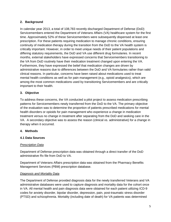### <span id="page-4-0"></span>**2. Background**

In calendar year 2013, a total of 108,783 recently discharged Department of Defense (DoD) Servicemembers entered the Department of Veterans Affairs (VA) healthcare system for the first time. Approximately 52% of these Servicemembers were subsequently dispensed at least one prescription. For these patients requiring medication to manage chronic conditions, ensuring continuity of medication therapy during the transition from the DoD to the VA health system is critically important. However, in order to meet unique needs of their patient populations and differing statutory requirements, the DoD and VA use different drug formularies. In recent months, external stakeholders have expressed concerns that Servicemembers transitioning to the VA from DoD routinely have their medication treatment changed upon entering the VA. Furthermore, they have expressed the belief that medication changes are driven by administrative reasons due to differences between the DoD and VA formularies rather than valid clinical reasons. In particular, concerns have been raised about medications used to treat mental health conditions as well as for pain management (e.g., opioid analgesics), which are among the most common medications used by transitioning Servicemembers and are critically important to their health.

#### <span id="page-4-1"></span>**3. Objective**

To address these concerns, the VA conducted a pilot project to assess medication prescribing patterns for Servicemembers newly transferred from the DoD to the VA. The primary objective of the evaluation was to determine the proportion of patients prescribed medications for mental health disorders or opioids for pain management who experience a change in medication treatment versus no change in treatment after separating from the DoD and seeking care in the VA. A secondary objective was to assess the reason (clinical vs. administrative) for a change in therapy when it occurred.

#### <span id="page-4-2"></span>**4. Methods**

# <span id="page-4-3"></span>**4.1 Data Sources**

#### *Prescription Data*

Department of Defense prescription data was obtained through a direct transfer of the DoD administrative Rx file from DoD to VA.

Department of Veterans Affairs prescription data was obtained from the Pharmacy Benefits Management Services (PBM) prescription database.

#### *Diagnosis and Mortality Data*

The Department of Defense provided diagnosis data for the newly transferred Veterans and VA administrative databases were used to capture diagnosis and mortality data for the cohort once in VA. All mental health and pain diagnosis data were obtained for each patient utilizing ICD-9 codes for anxiety disorder, bipolar disorder, depression, pain, post-traumatic stress disorder (PTSD) and schizophrenia. Mortality (including date of death) for VA patients was determined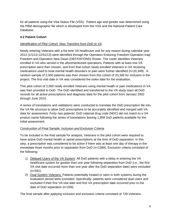for all patients using the Vital Status File (VSS). Patient age and gender was determined using the PBM demographic file which is developed from the VSS and the National Patient Care Database.

# <span id="page-5-0"></span>**4.2 Patient Cohort**

# *Identification of Pilot Cohort: New Transfers from DoD to VA*

Newly entering Veterans with a fist time VA healthcare visit for any reason during calendar year 2013 (1/1/13-12/31/13) were identified through the Operation Enduring Freedom-Operation Iraqi Freedom and Operation New Dawn (OEF/OIF/OND) Roster. The roster identifies Veterans enrolled in VA who served in the aforementioned operations. Patients with at least one VA prescription were then chosen, and from that cohort newly enrolled Veterans in VA receiving medications used to treat mental health disorders or pain were further identified (n=20,349). A random sample of 2,000 patients was then chosen from this cohort of 20,349 for inclusion in the project. The first visit date in VA was considered the index date for the evaluation.

This pilot cohort of 2,000 newly enrolled Veterans using mental health or pain medications in VA was then provided to DoD. The DoD identified and transferred to the VA study team all DoD records for all active prescriptions and diagnosis data for the pilot cohort from January 2002 through June 2014.

A series of translations and validations were conducted to translate the DoD prescription file into the VA file structure to allow DoD prescriptions to be accurately identified and merged with VA data for assessment. Forty–two patients' DoD national drug code (NDC) did not match to a VA product name following the series of translations leaving 1,958 DoD patients available for the initial assessment.

# *Construction of Final Sample: Inclusion and Exclusion Criteria*

To be included in the final sample for analysis, Veterans in the pilot cohort were required to have active DoD mental health or opioid prescriptions at the time of DoD separation. In this step, a prescription was considered to be active if there was at least one day of therapy in the immediate three months prior to separation from DoD (n=1589). Exclusion criteria consisted of the following:

- 1) Delayed Users of the VA System: All DoD patients with a delay in entering the VA healthcare system for greater than one year following separation from DoD (i.e., the first VA visit date occurred more than one year after the DoD separation date) were excluded (n=591).
- 2) Dual System Veterans: Patients potentially treated or seen in both systems during the evaluation period were excluded. Specifically, patients were considered dual users and excluded if their first VA visit date and first VA prescription date occurred prior to the date of DoD separation (n=269).

The final sample after applying inclusion and exclusion criteria consisted of 729 Veterans.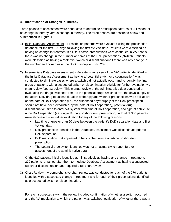#### <span id="page-6-0"></span>**4.3 Identification of Changes in Therapy**

Three phases of assessment were conducted to determine prescription patterns of utilization for no change in therapy versus change in therapy. The three phases are described below and summarized in Figure 1.

- 1) Initial Database Assessment Prescription patterns were evaluated using the prescription database for the first 120 days following the first VA visit date. Patients were classified as having no change in treatment if all DoD active prescriptions were continued in VA; that is, there was no change in the number or names of the DoD prescriptions (N=109). Patients were classified as having a "potential switch or discontinuation" if there was any change in the number and or names of the DoD prescription (N=620).
- 2) Intermediate Database Assessment An extensive review of the 620 patients identified in the Initial Database Assessment as having a "potential switch or discontinuation" was conducted to eliminate cases where a switch did not actually occur and to identify the final group of patients with a suspected switch or discontinuation eligible for further evaluation via chart review (see #3 below). This manual review of the administrative data consisted of evaluating the drugs switched "from" to the potential drugs switched "to", the days' supply of the active DoD drug to assess duration of therapy and whether prescriptions were still active on the date of DoD separation (i.e., the dispensed days' supply of the DoD prescription should not have been exhausted by the date of DoD separation), potential drug discontinuation, time to enter VA system from time of DoD separation, and type of active Rx upon DoD separation (i.e. single Rx only or short-term prescription). A total of 350 patients were eliminated from further evaluation for any of the following reasons:
	- Lag time of greater than 90 days between the patient's DoD separation date and first VA visit date
	- DoD prescription identified in the Database Assessment was discontinued prior to DoD separation
	- DoD medication that appeared to be switched was a one-time or short-term prescription
	- The potential drug switch identified was not an actual switch upon further assessment of the administrative data.

Of the 620 patients initially identified administratively as having any change in treatment, 270 patients remained after the Intermediate Database Assessment as having a suspected switch or discontinuation and required a full chart review.

3) Chart Review – A comprehensive chart review was conducted for each of the 270 patients identified with a suspected change in treatment and for each of their prescriptions identified as a suspected switch or discontinuation.

For each suspected switch, the review included confirmation of whether a switch occurred and the VA medication to which the patient was switched, evaluation of whether there was a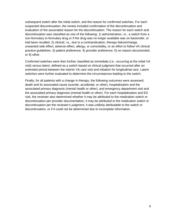subsequent switch after the initial switch, and the reason for confirmed switches. For each suspected discontinuation, the review included confirmation of the discontinuation and evaluation of the associated reason for the discontinuation. The reason for each switch and discontinuation was classified as one of the following: 1) administrative; i.e., a switch from a non-formulary to formulary drug or if the drug was no longer available was on backorder, or had been recalled; 2) clinical; i.e., due to a contraindication, therapy failure/change, unwanted side effect, adverse effect, allergy, or comorbidity, or an effort to follow VA clinical practice guidelines; 3) patient preference; 4) provider preference; 5) no reason documented; or 6) other.

Confirmed switches were then further classified as immediate (i.e., occurring at the initial VA visit) versus latent, defined as a switch based on clinical judgment that occurred after an extended period between the interim VA care visit and initiation for longitudinal care. Latent switches were further evaluated to determine the circumstances leading to the switch.

Finally, for all patients with a change in therapy, the following outcomes were assessed: death and its associated cause (suicide, accidental, or other), hospitalization and the associated primary diagnosis (mental health or other), and emergency department visit and the associated primary diagnosis (mental health or other). For each hospitalization and ED visit, the reviewer also determined whether it may be attributed to the medication switch or discontinuation per provider documentation, it may be attributed to the medication switch or discontinuation per the reviewer's judgment, it was unlikely attributable to the switch or discontinuation, or if it could not be determined due to incomplete information.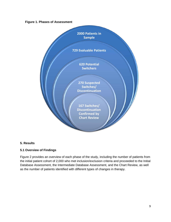#### **Figure 1. Phases of Assessment**



#### <span id="page-8-0"></span>**5. Results**

#### <span id="page-8-1"></span>**5.1 Overview of Findings**

Figure 2 provides an overview of each phase of the study, including the number of patients from the initial patient cohort of 2,000 who met inclusion/exclusion criteria and proceeded to the Initial Database Assessment, the Intermediate Database Assessment, and the Chart Review, as well as the number of patients identified with different types of changes in therapy.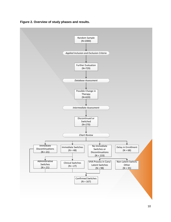

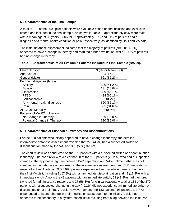#### <span id="page-10-0"></span>**5.2 Characteristics of the Final Sample**

A total of 729 of the 2000 pilot patients were evaluable based on the inclusion and exclusion criteria and included in the final sample. As shown in Table 1, approximately 85% were male, with a mean age of 30 years (SD=7.2). Approximately 85% and 81% of patients had a diagnosis of a mental health condition or pain, respectively, as identified by DoD and VA data.

The initial database assessment indicated that the majority of patients (N=620; 85.0%) appeared to have a change in therapy and required further evaluation, while 15.0% of patients had no change in therapy.

| Characteristics               | N (%) or Mean (SD) |
|-------------------------------|--------------------|
| Age (years)                   | 30(7.2)            |
| Gender (Male)                 | 621 (85.2%)        |
| Pertinent diagnosis (N, %)    |                    |
| Anxiety                       | 300 (41.2%)        |
| <b>Bipolar</b>                | 131 (18.0%)        |
| Depression                    | 329 (45.1%)        |
| <b>PTSD</b>                   | 438 (60.1%)        |
| Schizophrenia                 | 5(0.7%)            |
| Any mental health diagnosis   | 620 (85.1%)        |
| Pain                          | 595 (81.6%)        |
| <b>All-Cause Mortality</b>    | $3(0.4\%)$         |
| Patterns of VA RX utilization |                    |
| No Change in Therapy          | 109 (15.0%)        |
| Potential Change in Therapy   | 620 (85.0%)        |

#### **Table 1. Characteristics of All Evaluable Patients Included in Final Sample (N=729).**

#### <span id="page-10-1"></span>**5.3 Characteristics of Suspected Switches and Discontinuations**

For the 620 patients who initially appeared to have a change in therapy, the detailed intermediate database assessment revealed that 270 (43%) had a suspected switch or discontinuation made by the VA, and 350 (56%) did not.

The chart review was conducted on the 270 patients with a suspected switch or discontinuation in therapy. The chart review revealed that 68 of the 270 patients (25.2% ) who had a suspected change in therapy had a lag time between DoD separation and VA enrollment (that was not identified in the database or confirmed in the intermediate assessment) and DoD medications were not active. A total of 69 (25.6%) patients experienced an immediate therapy change at their first VA visit, including 21 (7.8%) with an immediate discontinuation and 48 (17.8%) with an immediate switch. Among the 48 patients with an immediate switch, 21 (43.8%) had their drug switched for administrative reasons and 27 (56.3%) for clinical reasons. A total of 133 of the 270 patients with a suspected change in therapy (49.2%) did not experience an immediate switch or discontinuation at their first VA visit. However, among the 133 patients, 98 patients (73.7%) experienced a "latent" change in their medication subsequent to the initial VA visit that appeared to be secondary to a system-based issue resulting from a lag between the initial VA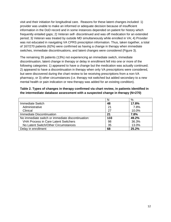visit and their initiation for longitudinal care. Reasons for these latent changes included: 1) provider was unable to make an informed or adequate decision because of insufficient information in the DoD record and in some instances depended on patient for history which frequently entailed gaps; 2) Veteran self- discontinued and was off medication for an extended period; 3) Veteran was treated by outside MD simultaneously while enrolled in VA; 4) Provider was not educated in navigating VA CPRS prescription information. Thus, taken together, a total of 167/270 patients (62%) were confirmed as having a change in therapy when immediate switches, immediate discontinuations, and latent changes were considered (Figure 3).

The remaining 35 patients (13%) not experiencing an immediate switch, immediate discontinuation, latent change in therapy or delay in enrollment fell into one or more of the following categories: 1) appeared to have a change but the medication was actually continued; 2) appeared to have a discontinuation in therapy when only VA prescriptions were considered, but were discovered during the chart review to be receiving prescriptions from a non-VA pharmacy, or 3) other circumstances (i.e. therapy not switched but added secondary to a new mental health or pain indication or new therapy was added for an existing condition).

| Table 2. Types of changes in therapy confirmed via chart review, in patients identified in |
|--------------------------------------------------------------------------------------------|
| the intermediate database assessment with a suspected change in therapy (N=270)            |

|                                                   | N   | %     |
|---------------------------------------------------|-----|-------|
| <b>Immediate Switch</b>                           |     | 17.8% |
| Administrative                                    | 21  | 7.8%  |
| Clinical                                          | 27  | 10.0% |
| Immediate Discontinuation                         | 21  | 7.8%  |
| No immediate switch or immediate discontinuation: | 133 | 49.2% |
| <b>VHA Process in Care Latent Switchers</b>       | 98  | 36.3% |
| No Latent Switch/Other Circumstances              | 35  | 13.0% |
| Delay in enrollment                               | 68  | 25.2% |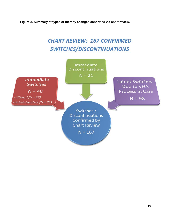**Figure 3. Summary of types of therapy changes confirmed via chart review.**

# **CHART REVIEW: 167 CONFIRMED SWITCHES/DISCONTINUATIONS**

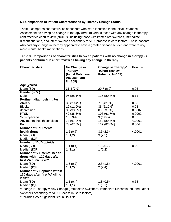# <span id="page-13-0"></span>**5.4 Comparison of Patient Characteristics by Therapy Change Status**

Table 3 compares characteristics of patients who were identified in the Initial Database Assessment as having no change in therapy (n=109) versus those with any change in therapy confirmed via chart review (N=167), including those with immediate switches, immediate discontinuations, and latent switches secondary to VHA process in care factors. Those patients who had any change in therapy appeared to have a greater disease burden and were taking more mental health medications.

| <b>Characteristics</b>            | No Change in      | Change in Therapy* | P-value |
|-----------------------------------|-------------------|--------------------|---------|
|                                   | <b>Therapy</b>    | (Chart Review      |         |
|                                   | (Initial Database | Patients; N=167)   |         |
|                                   | Assessment;       |                    |         |
|                                   | $N = 109$         |                    |         |
| Age (years)                       |                   |                    |         |
| Mean (SD)                         | 31.4(7.9)         | 29.7 (6.9)         | 0.06    |
| Gender (n, %)                     |                   |                    |         |
| Male                              | 96 (88.1%)        | 135 (80.8%)        | 0.11    |
| Pertinent diagnosis (n, %)        |                   |                    |         |
| Anxiety                           | 32 (29.4%)        | 71 (42.5%)         | 0.03    |
| <b>Bipolar</b>                    | 12 (11.0%)        | 35 (21.0%)         | 0.03    |
| depression                        | 33 (30.3%)        | 89 (53.3%)         | 0.0002  |
| <b>PTSD</b>                       | 42 (38.5%)        | 103 (61.7%)        | 0.0002  |
| Schizophrenia                     | $1(0.9\%)$        | $3(1.8\%)$         | 0.55    |
| Any mental health condition       | 73 (67.0%)        | 150 (89.8%)        | < .0001 |
| Pain                              | 73 (67.0%)        | 137 (82.0%)        | 0.004   |
| <b>Number of DoD mental</b>       |                   |                    |         |
| health drugs                      | 1.5(0.7)          | 3.5(2.3)           | < .0001 |
| Mean (SD)                         | 1(1,2)            | 3(2,5)             |         |
| Median (IQR)                      |                   |                    |         |
| <b>Number of DoD opioids</b>      |                   |                    |         |
| Mean (SD),                        | 1.1(0.4)          | 1.5(0.7)           | 0.20    |
| Median (IQR)                      | 1(1,1)            | 1(1,2)             |         |
| <b>Number of VA mental health</b> |                   |                    |         |
| drugs within 120 days after       |                   |                    |         |
| first VA clinic visit**           |                   |                    |         |
| Mean (SD)                         | 1.5(0.7)          | 2.8(1.5)           | < .0001 |
| Median (IQR)                      | 1(1,2)            | 2(2,4)             |         |
| Number of VA opioids within       |                   |                    |         |
| 120 days after first VA clinic    |                   |                    |         |
| visit**                           |                   |                    |         |
| Mean (SD)                         | 1.1(0.4)          | 1.3(0.5)           | 0.58    |
| Median (IQR)                      | 1(1,1)            | 1(1,1)             |         |

#### **Table 3. Comparisons of characteristics between patients with no change in therapy vs. patients confirmed in chart review as having any change in therapy.**

\*Change in Therapy = Any Change (Immediate Switchers, Immediate Discontinued, and Latent switchers secondary to VHA Process in Care factors)

\*\*Includes VA drugs identified in DoD file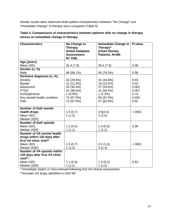Similar results were observed when patient characteristics between "No Change" and "Immediate Change" in therapy were compared (Table 4).

| Table 4. Comparisons of characteristics between patients with no change in therapy |
|------------------------------------------------------------------------------------|
| versus an immediate change in therapy.                                             |

| <b>Characteristics</b>             | No Change in      | <b>Immediate Change in</b> | P-value |
|------------------------------------|-------------------|----------------------------|---------|
|                                    | <b>Therapy</b>    | Therapy*                   |         |
|                                    | (Initial Database | (Chart Review              |         |
|                                    | Assessment;       | Patients, N=69)            |         |
|                                    | $N = 109$         |                            |         |
| Age (years)                        |                   |                            |         |
| Mean (SD)                          | 31.4(7.9)         | 30.4(7.5)                  | 0.38    |
| Gender (n, %)                      |                   |                            |         |
| Male                               | 96 (88.1%)        | 54 (78.3%)                 | 0.08    |
| Pertinent diagnosis (n, %)         |                   |                            |         |
| Anxiety                            | 32 (29.4%)        | 31 (44.9%)                 | 0.03    |
| <b>Bipolar</b>                     | 12 (11.0%)        | 16 (23.2%)                 | 0.03    |
| depression                         | 33 (30.3%)        | 37 (53.6%)                 | 0.002   |
| <b>PTSD</b>                        | 42 (38.5%)        | 41 (59.4%)                 | 0.007   |
| Schizophrenia                      | $1(0.9\%)$        | 1(1.5%)                    | 0.74    |
| Any mental health condition        | 73 (67.0%)        | 60 (87.0%)                 | 0.003   |
| Pain                               | 73 (67.0%)        | 57 (82.6%)                 | 0.02    |
|                                    |                   |                            |         |
| <b>Number of DoD mental</b>        |                   |                            |         |
| health drugs                       | 1.5(0.7)          | 3.9(2.6)                   | < .0001 |
| Mean (SD)                          | 1(1,2)            | 3(2,5)                     |         |
| Median (IQR)                       |                   |                            |         |
| <b>Number of DoD opioids</b>       |                   |                            |         |
| Mean (SD),                         | 1.1(0.4)          | 1.4(0.6)                   | 0.28    |
| Median (IQR)                       | 1(1,1)            | 1(1,2)                     |         |
| Number of VA mental health         |                   |                            |         |
| drugs within 120 days after        |                   |                            |         |
| first VA clinic visit**            |                   |                            |         |
| Mean (SD)                          | 1.5(0.7)          | 3.2(1.6)                   | < .0001 |
| Median (IQR)                       | 1(1,2)            | 3(2,4)                     |         |
| <b>Number of VA opioids within</b> |                   |                            |         |
| 120 days after first VA clinic     |                   |                            |         |
| visit**                            |                   |                            |         |
| Mean (SD)                          | 1.1(0.4)          | 1.3(0.5)                   | 0.43    |
| Median (IQR)                       | 1(1,1)            | 1(1,2)                     |         |

\* Immediate Switch or Discontinued following first VA clinical assessment

\*\*Includes VA drugs identified in DoD file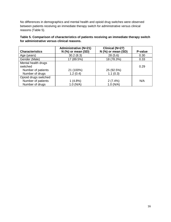No differences in demographics and mental health and opioid drug switches were observed between patients receiving an immediate therapy switch for administrative versus clinical reasons (Table 5).

**Table 5. Comparison of characteristics of patients receiving an immediate therapy switch for administrative versus clinical reasons.** 

|                        | <b>Administrative (N=21)</b> | Clinical (N=27)    |         |
|------------------------|------------------------------|--------------------|---------|
| <b>Characteristics</b> | $N$ (%) or mean (SD)         | N (%) or mean (SD) | P-value |
| Age (years)            | 30.2(8.3)                    | 28(5.6)            | 0.30    |
| Gender (Male)          | 17 (89.5%)                   | 18 (78.3%)         | 0.33    |
| Mental health drugs    |                              |                    |         |
| switched               |                              |                    | 0.29    |
| Number of patients     | 21 (100%)                    | 25 (92.5%)         |         |
| Number of drugs        | 1.2(0.4)                     | 1.1(0.3)           |         |
| Opioid drugs switched  |                              |                    |         |
| Number of patients     | 1(4.8%)                      | 2(7.4%)            | N/A     |
| Number of drugs        | 1.0 (N/A)                    | 1.0 (N/A)          |         |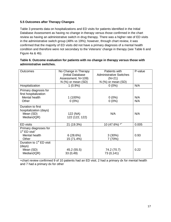### <span id="page-16-0"></span>**5.5 Outcomes after Therapy Changes**

Table 3 presents data on hospitalizations and ED visits for patients identified in the Initial Database Assessment as having no change in therapy versus those confirmed in the chart review as having an administrative switch in drug therapy. There was a higher rate of ED visits in the administrative switch group (48% vs 19%); however, through chart review, it was confirmed that the majority of ED visits did not have a primary diagnosis of a mental health condition and therefore were not secondary to the Veterans' change in therapy (see Table 6 and Figure 4a & 4b).

| <b>Outcomes</b>                                | No Change in Therapy | Patients with                  | P-value |
|------------------------------------------------|----------------------|--------------------------------|---------|
|                                                | (Initial Database    | <b>Administrative Switches</b> |         |
|                                                | Assessment; N=109)   | $(N=21)$                       |         |
|                                                | $N$ (%) or mean (SD) | $N$ (%) or mean (SD)           |         |
| Hospitalization                                | $1(0.9\%)$           | $0(0\%)$                       | N/A     |
| Primary diagnosis for<br>first hospitalization |                      |                                |         |
| Mental health                                  | $1(100\%)$           | $0(0\%)$                       | N/A     |
| Other                                          | $0(0\%)$             | $0(0\%)$                       | N/A     |
| Duration to first                              |                      |                                |         |
| hospitalization (days)                         |                      |                                |         |
| Mean (SD)                                      |                      | N/A                            | N/A     |
|                                                | 122 (NA)             |                                |         |
| Median(IQR)                                    | 122 (122, 122)       |                                |         |
| <b>ED</b> visits                               | 21 (19.3%)           | $^{\star+}$<br>10 (47.6%)      | 0.005   |
| Primary diagnoses for                          |                      |                                |         |
| $1st$ ED visit <sup>+</sup>                    |                      |                                |         |
| Mental health                                  | 6(28.6%)             | 3(30%)                         | 0.93    |
| Other                                          | 15 (71.4%)           | 7 (70%)                        |         |
| Duration to 1 <sup>st</sup> ED visit           |                      |                                |         |
| (days)                                         |                      |                                |         |
| Mean (SD)                                      | 45.2 (55.5)          | 74.2 (70.7)                    | 0.22    |
| Median(IQR)                                    | 33(0,49)             | 73 (0,141)                     |         |
|                                                |                      |                                |         |

#### **Table 6. Outcome evaluation for patients with no change in therapy versus those with administrative switches.**

+chart review confirmed 9 of 10 patients had an ED visit; 2 had a primary dx for mental health and 7 had a primary dx for other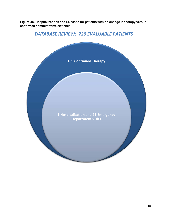**Figure 4a. Hospitalizations and ED visits for patients with no change in therapy versus confirmed administrative switches.**

# *DATABASE REVIEW: 729 EVALUABLE PATIENTS*

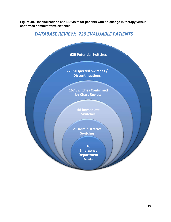**Figure 4b. Hospitalizations and ED visits for patients with no change in therapy versus confirmed administrative switches.**

# *DATABASE REVIEW: 729 EVALUABLE PATIENTS*

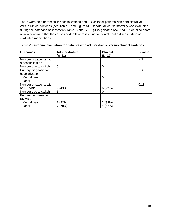There were no differences in hospitalizations and ED visits for patients with administrative versus clinical switches (see Table 7 and Figure 5*).* Of note, all-cause mortality was evaluated during the database assessment (Table 1) and 3/729 (0.4%) deaths occurred. A detailed chart review confirmed that the causes of death were not due to mental health disease state or evaluated medications.

<span id="page-19-0"></span>

| <b>Outcomes</b>         | <b>Administrative</b> | <b>Clinical</b> | P-value |
|-------------------------|-----------------------|-----------------|---------|
|                         | (n=21)                | $(N=27)$        |         |
| Number of patients with |                       |                 | N/A     |
| a hospitalization       | 0                     |                 |         |
| Number due to switch    | 0                     | O               |         |
| Primary diagnosis for   |                       |                 | N/A     |
| hospitalization         |                       |                 |         |
| Mental health           | 0                     | 0               |         |
| Other                   | 0                     |                 |         |
| Number of patients with |                       |                 | 0.13    |
| an ED visit             | 9(43%)                | 6(22%)          |         |
| Number due to switch    |                       | 0               |         |
| Primary diagnosis for   |                       |                 |         |
| ED visit                |                       |                 |         |
| Mental health           | 2(22%)                | 2(33%)          |         |
| Other                   | 7 (78%)               | 4(67%)          |         |

**Table 7. Outcome evaluation for patients with administrative versus clinical switches.**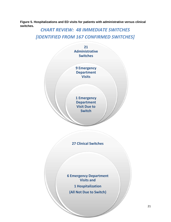**Figure 5. Hospitalizations and ED visits for patients with administrative versus clinical switches.**

# *CHART REVIEW: 48 IMMEDIATE SWITCHES [IDENTIFIED FROM 167 CONFIRMED SWITCHES]*